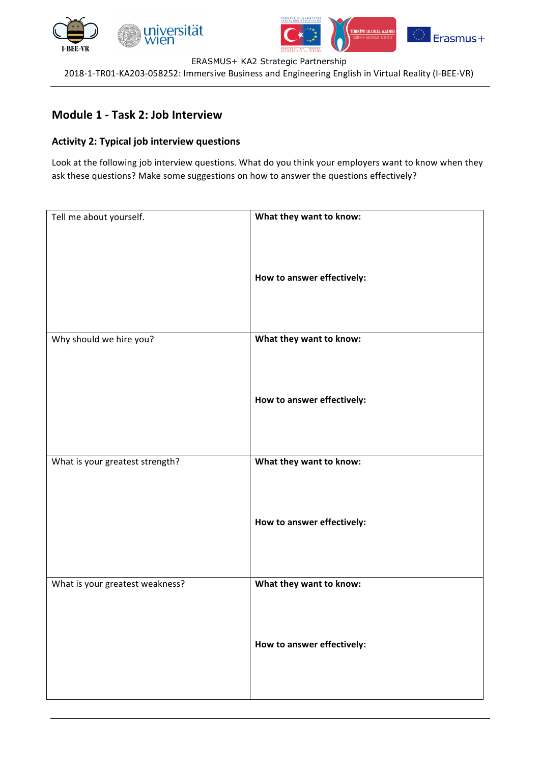





ERASMUS+ KA2 Strategic Partnership

2018-1-TR01-KA203-058252: Immersive Business and Engineering English in Virtual Reality (I-BEE-VR)

## **Module 1 - Task 2: Job Interview**

### **Activity 2: Typical job interview questions**

Look at the following job interview questions. What do you think your employers want to know when they ask these questions? Make some suggestions on how to answer the questions effectively?

| Tell me about yourself.         | What they want to know:    |
|---------------------------------|----------------------------|
|                                 | How to answer effectively: |
| Why should we hire you?         | What they want to know:    |
|                                 | How to answer effectively: |
| What is your greatest strength? | What they want to know:    |
|                                 | How to answer effectively: |
| What is your greatest weakness? | What they want to know:    |
|                                 | How to answer effectively: |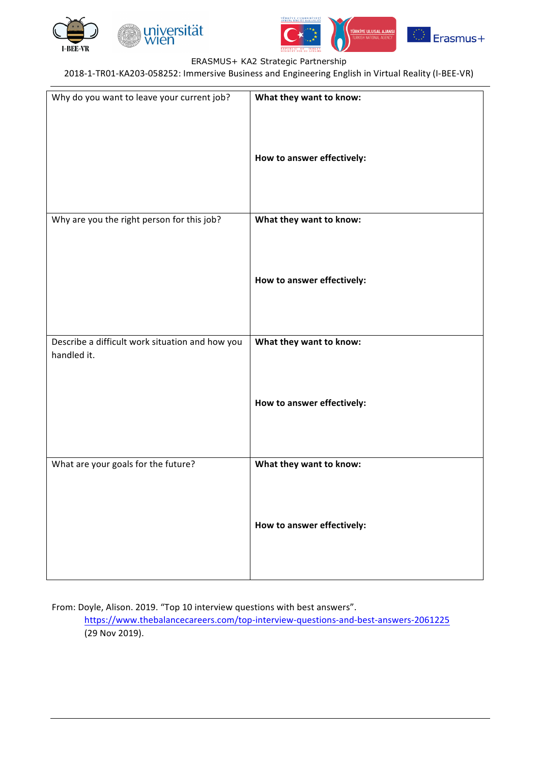

**Ten** 





#### ERASMUS+ KA2 Strategic Partnership

2018-1-TR01-KA203-058252: Immersive Business and Engineering English in Virtual Reality (I-BEE-VR)

| Why do you want to leave your current job?      | What they want to know:    |
|-------------------------------------------------|----------------------------|
|                                                 | How to answer effectively: |
| Why are you the right person for this job?      | What they want to know:    |
|                                                 | How to answer effectively: |
| Describe a difficult work situation and how you | What they want to know:    |
| handled it.                                     | How to answer effectively: |
| What are your goals for the future?             | What they want to know:    |
|                                                 | How to answer effectively: |

From: Doyle, Alison. 2019. "Top 10 interview questions with best answers".

https://www.thebalancecareers.com/top-interview-questions-and-best-answers-2061225 (29 Nov 2019).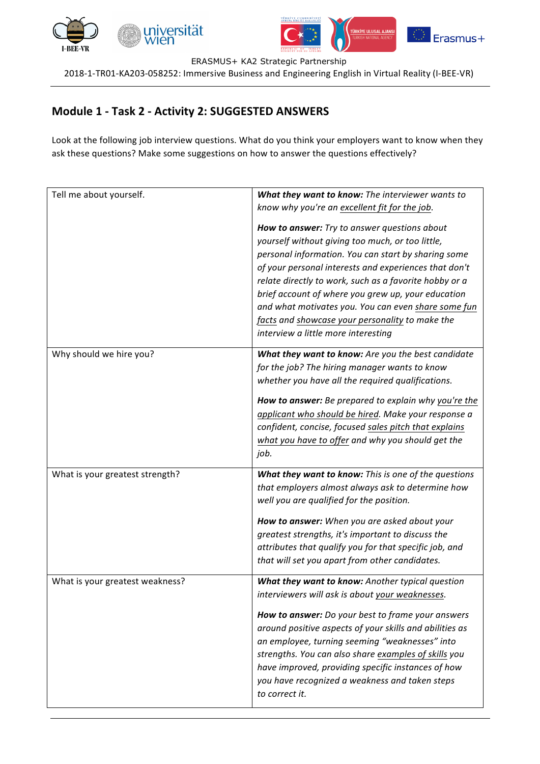





ERASMUS+ KA2 Strategic Partnership

2018-1-TR01-KA203-058252: Immersive Business and Engineering English in Virtual Reality (I-BEE-VR)

# **Module 1 - Task 2 - Activity 2: SUGGESTED ANSWERS**

Look at the following job interview questions. What do you think your employers want to know when they ask these questions? Make some suggestions on how to answer the questions effectively?

| Tell me about yourself.         | What they want to know: The interviewer wants to<br>know why you're an excellent fit for the job.<br>How to answer: Try to answer questions about<br>yourself without giving too much, or too little,<br>personal information. You can start by sharing some<br>of your personal interests and experiences that don't<br>relate directly to work, such as a favorite hobby or a<br>brief account of where you grew up, your education<br>and what motivates you. You can even share some fun<br>facts and showcase your personality to make the<br>interview a little more interesting |
|---------------------------------|----------------------------------------------------------------------------------------------------------------------------------------------------------------------------------------------------------------------------------------------------------------------------------------------------------------------------------------------------------------------------------------------------------------------------------------------------------------------------------------------------------------------------------------------------------------------------------------|
| Why should we hire you?         | What they want to know: Are you the best candidate<br>for the job? The hiring manager wants to know<br>whether you have all the required qualifications.<br>How to answer: Be prepared to explain why you're the<br>applicant who should be hired. Make your response a<br>confident, concise, focused sales pitch that explains<br>what you have to offer and why you should get the<br>job.                                                                                                                                                                                          |
| What is your greatest strength? | What they want to know: This is one of the questions<br>that employers almost always ask to determine how<br>well you are qualified for the position.<br>How to answer: When you are asked about your<br>greatest strengths, it's important to discuss the<br>attributes that qualify you for that specific job, and<br>that will set you apart from other candidates.                                                                                                                                                                                                                 |
| What is your greatest weakness? | What they want to know: Another typical question<br>interviewers will ask is about your weaknesses.<br>How to answer: Do your best to frame your answers<br>around positive aspects of your skills and abilities as<br>an employee, turning seeming "weaknesses" into<br>strengths. You can also share examples of skills you<br>have improved, providing specific instances of how<br>you have recognized a weakness and taken steps<br>to correct it.                                                                                                                                |